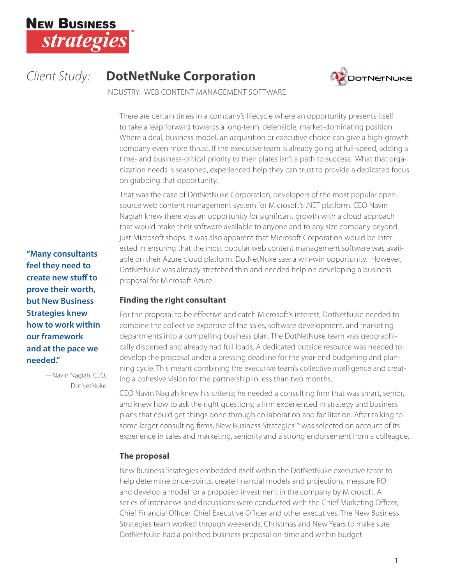

# *Client Study:* **DotNetNuke Corporation**



INDUSTRY: WEB CONTENT MANAGEMENT SOFTWARE

There are certain times in a company's lifecycle where an opportunity presents itself to take a leap forward towards a long-term, defensible, market-dominating position. Where a deal, business model, an acquisition or executive choice can give a high-growth company even more thrust. If the executive team is already going at full-speed, adding a time- and business-critical priority to their plates isn't a path to success. What that organization needs is seasoned, experienced help they can trust to provide a dedicated focus on grabbing that opportunity.

That was the case of DotNetNuke Corporation, developers of the most popular opensource web content management system for Microsoft's .NET platform. CEO Navin Nagiah knew there was an opportunity for significant growth with a cloud approach that would make their software available to anyone and to any size company beyond just Microsoft shops. It was also apparent that Microsoft Corporation would be interested in ensuring that the most popular web content management software was available on their Azure cloud platform. DotNetNuke saw a win-win opportunity. However, DotNetNuke was already stretched thin and needed help on developing a business proposal for Microsoft Azure.

## **Finding the right consultant**

For the proposal to be effective and catch Microsoft's interest, DotNetNuke needed to combine the collective expertise of the sales, software development, and marketing departments into a compelling business plan. The DotNetNuke team was geographically dispersed and already had full loads. A dedicated outside resource was needed to develop the proposal under a pressing deadline for the year-end budgeting and planning cycle. This meant combining the executive team's collective intelligence and creating a cohesive vision for the partnership in less than two months.

CEO Navin Nagiah knew his criteria; he needed a consulting firm that was smart, senior, and knew how to ask the right questions; a firm experienced in strategy and business plans that could get things done through collaboration and facilitation. After talking to some larger consulting firms, New Business Strategies™ was selected on account of its experience in sales and marketing, seniority and a strong endorsement from a colleague.

# **The proposal**

New Business Strategies embedded itself within the DotNetNuke executive team to help determine price-points, create financial models and projections, measure ROI and develop a model for a proposed investment in the company by Microsoft. A series of interviews and discussions were conducted with the Chief Marketing Officer, Chief Financial Officer, Chief Executive Officer and other executives. The New Business Strategies team worked through weekends, Christmas and New Years to make sure DotNetNuke had a polished business proposal on-time and within budget.

**"Many consultants feel they need to create new stuff to prove their worth, but New Business Strategies knew how to work within our framework and at the pace we needed."**

> —Navin Nagiah, CEO, DotNetNuke